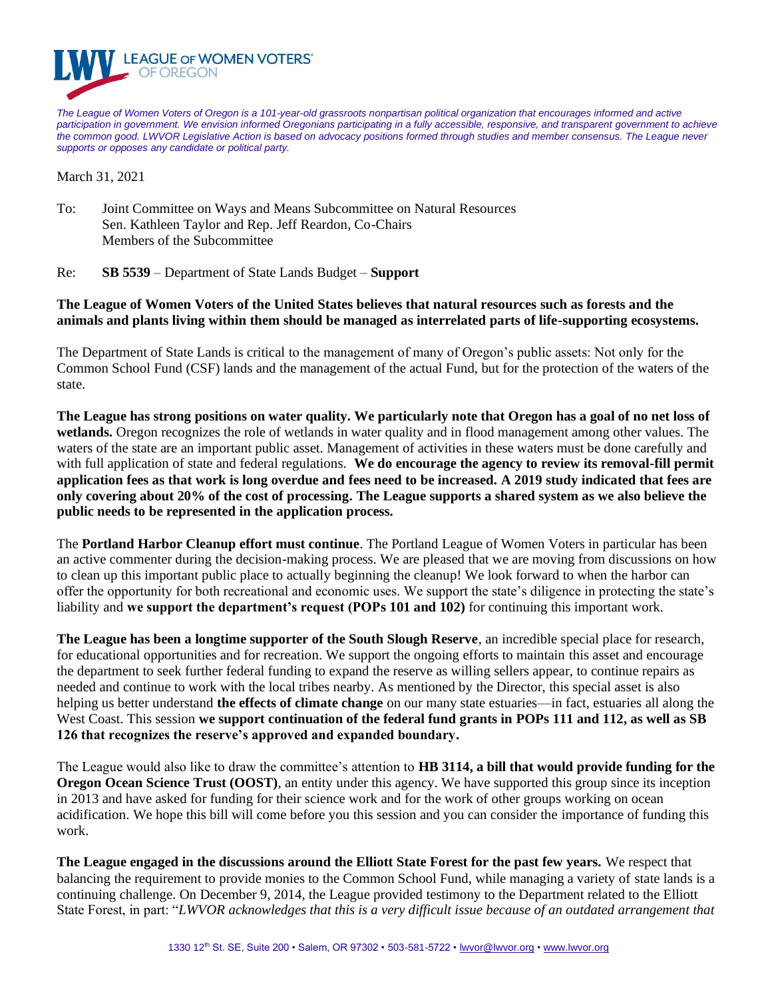

*The League of Women Voters of Oregon is a 101-year-old grassroots nonpartisan political organization that encourages informed and active participation in government. We envision informed Oregonians participating in a fully accessible, responsive, and transparent government to achieve the common good. LWVOR Legislative Action is based on advocacy positions formed through studies and member consensus. The League never supports or opposes any candidate or political party.*

March 31, 2021

- To: Joint Committee on Ways and Means Subcommittee on Natural Resources Sen. Kathleen Taylor and Rep. Jeff Reardon, Co-Chairs Members of the Subcommittee
- Re: **SB 5539** Department of State Lands Budget **Support**

## **The League of Women Voters of the United States believes that natural resources such as forests and the animals and plants living within them should be managed as interrelated parts of life-supporting ecosystems.**

The Department of State Lands is critical to the management of many of Oregon's public assets: Not only for the Common School Fund (CSF) lands and the management of the actual Fund, but for the protection of the waters of the state.

**The League has strong positions on water quality. We particularly note that Oregon has a goal of no net loss of wetlands.** Oregon recognizes the role of wetlands in water quality and in flood management among other values. The waters of the state are an important public asset. Management of activities in these waters must be done carefully and with full application of state and federal regulations. **We do encourage the agency to review its removal-fill permit application fees as that work is long overdue and fees need to be increased. A 2019 study indicated that fees are only covering about 20% of the cost of processing. The League supports a shared system as we also believe the public needs to be represented in the application process.** 

The **Portland Harbor Cleanup effort must continue**. The Portland League of Women Voters in particular has been an active commenter during the decision-making process. We are pleased that we are moving from discussions on how to clean up this important public place to actually beginning the cleanup! We look forward to when the harbor can offer the opportunity for both recreational and economic uses. We support the state's diligence in protecting the state's liability and **we support the department's request (POPs 101 and 102)** for continuing this important work.

**The League has been a longtime supporter of the South Slough Reserve**, an incredible special place for research, for educational opportunities and for recreation. We support the ongoing efforts to maintain this asset and encourage the department to seek further federal funding to expand the reserve as willing sellers appear, to continue repairs as needed and continue to work with the local tribes nearby. As mentioned by the Director, this special asset is also helping us better understand **the effects of climate change** on our many state estuaries—in fact, estuaries all along the West Coast. This session **we support continuation of the federal fund grants in POPs 111 and 112, as well as SB 126 that recognizes the reserve's approved and expanded boundary.**

The League would also like to draw the committee's attention to **HB 3114, a bill that would provide funding for the Oregon Ocean Science Trust (OOST)**, an entity under this agency. We have supported this group since its inception in 2013 and have asked for funding for their science work and for the work of other groups working on ocean acidification. We hope this bill will come before you this session and you can consider the importance of funding this work.

**The League engaged in the discussions around the Elliott State Forest for the past few years.** We respect that balancing the requirement to provide monies to the Common School Fund, while managing a variety of state lands is a continuing challenge. On December 9, 2014, the League provided testimony to the Department related to the Elliott State Forest, in part: "*LWVOR acknowledges that this is a very difficult issue because of an outdated arrangement that*